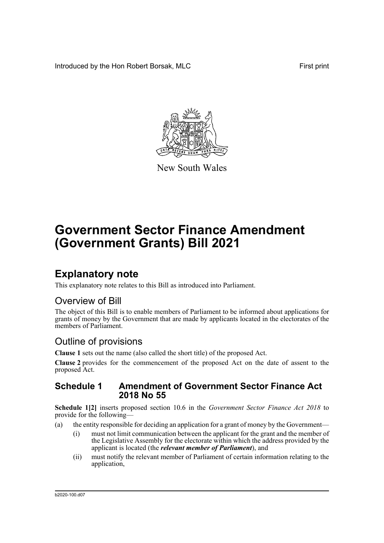Introduced by the Hon Robert Borsak, MLC First print



New South Wales

# **Government Sector Finance Amendment (Government Grants) Bill 2021**

## **Explanatory note**

This explanatory note relates to this Bill as introduced into Parliament.

### Overview of Bill

The object of this Bill is to enable members of Parliament to be informed about applications for grants of money by the Government that are made by applicants located in the electorates of the members of Parliament.

### Outline of provisions

**Clause 1** sets out the name (also called the short title) of the proposed Act.

**Clause 2** provides for the commencement of the proposed Act on the date of assent to the proposed Act.

#### **Schedule 1 Amendment of Government Sector Finance Act 2018 No 55**

**Schedule 1[2]** inserts proposed section 10.6 in the *Government Sector Finance Act 2018* to provide for the following—

- (a) the entity responsible for deciding an application for a grant of money by the Government—
	- (i) must not limit communication between the applicant for the grant and the member of the Legislative Assembly for the electorate within which the address provided by the applicant is located (the *relevant member of Parliament*), and
	- (ii) must notify the relevant member of Parliament of certain information relating to the application,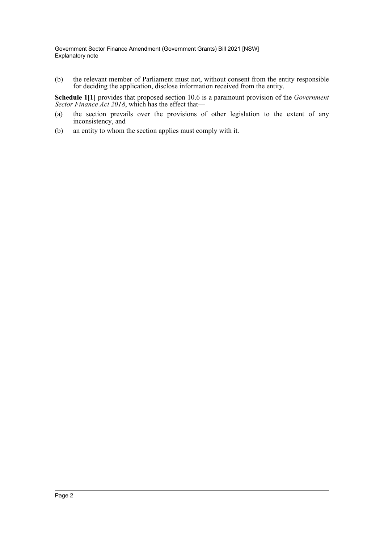(b) the relevant member of Parliament must not, without consent from the entity responsible for deciding the application, disclose information received from the entity.

**Schedule 1[1]** provides that proposed section 10.6 is a paramount provision of the *Government Sector Finance Act 2018*, which has the effect that—

- (a) the section prevails over the provisions of other legislation to the extent of any inconsistency, and
- (b) an entity to whom the section applies must comply with it.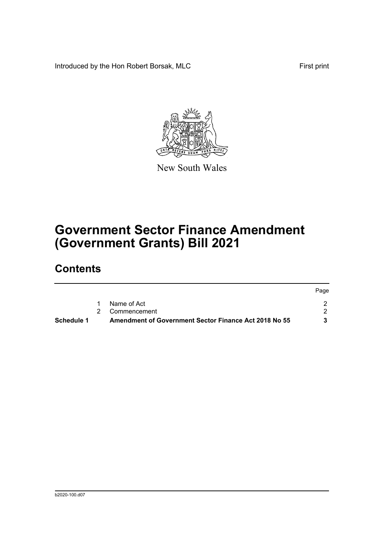Introduced by the Hon Robert Borsak, MLC First print



New South Wales

# **Government Sector Finance Amendment (Government Grants) Bill 2021**

## **Contents**

| Schedule 1 | <b>Amendment of Government Sector Finance Act 2018 No 55</b> |      |
|------------|--------------------------------------------------------------|------|
|            | 2 Commencement                                               |      |
|            | Name of Act                                                  |      |
|            |                                                              | Page |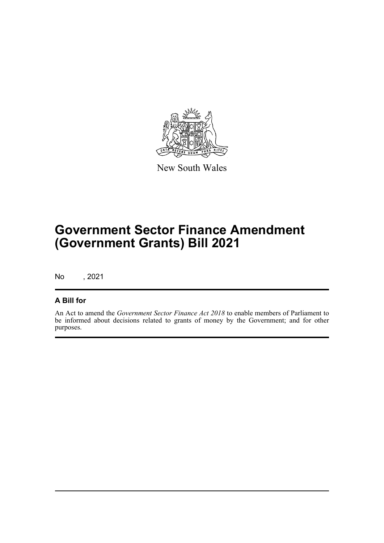

New South Wales

## **Government Sector Finance Amendment (Government Grants) Bill 2021**

No , 2021

#### **A Bill for**

An Act to amend the *Government Sector Finance Act 2018* to enable members of Parliament to be informed about decisions related to grants of money by the Government; and for other purposes.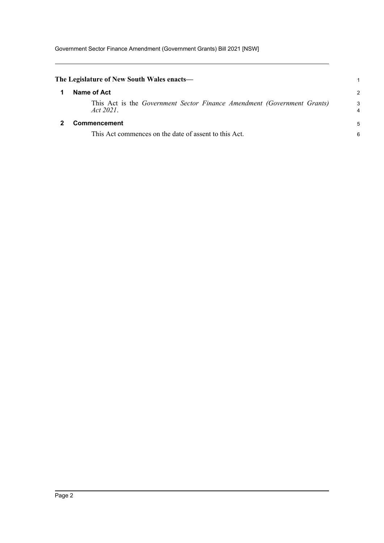<span id="page-4-1"></span><span id="page-4-0"></span>

| The Legislature of New South Wales enacts—                                           | 1             |
|--------------------------------------------------------------------------------------|---------------|
| Name of Act                                                                          | $\mathcal{P}$ |
| This Act is the Government Sector Finance Amendment (Government Grants)<br>Act 2021. | 3<br>4        |
| <b>Commencement</b>                                                                  | 5             |
| This Act commences on the date of assent to this Act.                                | 6             |
|                                                                                      |               |